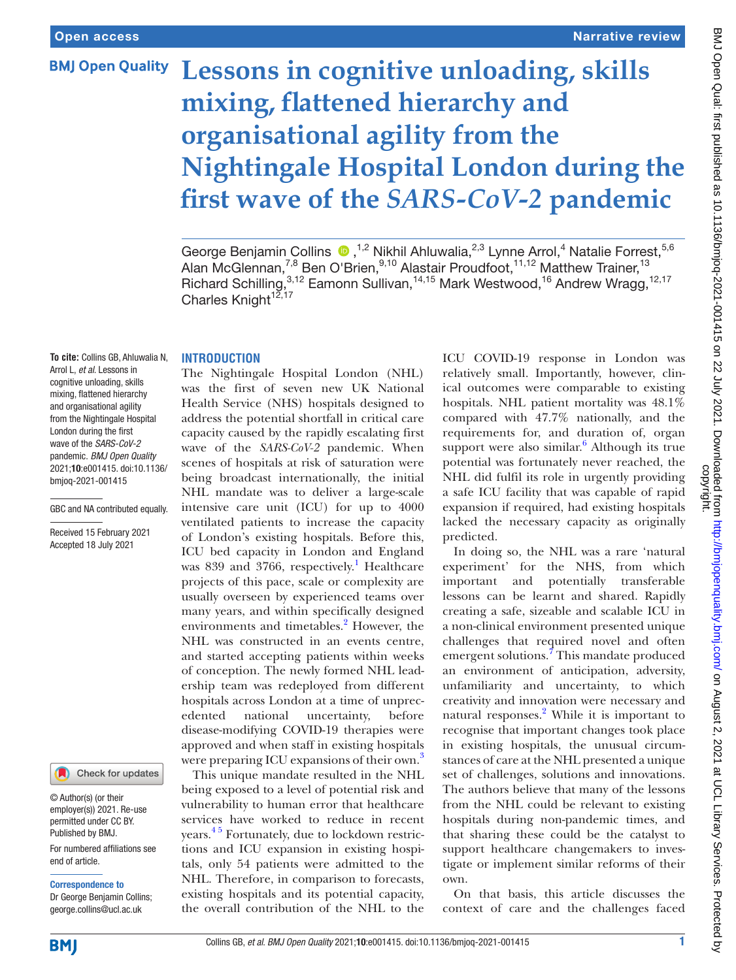**BMJ Open Quality** 

# **Lessons in cognitive unloading, skills mixing, flattened hierarchy and organisational agility from the Nightingale Hospital London during the first wave of the** *SARS-CoV-2* **pandemic**

#### **INTRODUCTION**

**To cite:** Collins GB, Ahluwalia N, Arrol L, *et al*. Lessons in cognitive unloading, skills mixing, flattened hierarchy and organisational agility from the Nightingale Hospital London during the first wave of the *SARS-CoV-2* pandemic. *BMJ Open Quality* 2021;10:e001415. doi:10.1136/ bmjoq-2021-001415

GBC and NA contributed equally.

Received 15 February 2021 Accepted 18 July 2021

#### Check for updates

© Author(s) (or their employer(s)) 2021. Re-use permitted under CC BY. Published by BMJ.

For numbered affiliations see end of article.

Correspondence to Dr George Benjamin Collins; george.collins@ucl.ac.uk

was the first of seven new UK National Health Service (NHS) hospitals designed to address the potential shortfall in critical care capacity caused by the rapidly escalating first wave of the *SARS-CoV-2* pandemic. When scenes of hospitals at risk of saturation were being broadcast internationally, the initial NHL mandate was to deliver a large-scale intensive care unit (ICU) for up to 4000 ventilated patients to increase the capacity of London's existing hospitals. Before this, ICU bed capacity in London and England was 839 and 3766, respectively.<sup>[1](#page-4-0)</sup> Healthcare projects of this pace, scale or complexity are usually overseen by experienced teams over many years, and within specifically designed environments and timetables.<sup>2</sup> However, the NHL was constructed in an events centre, and started accepting patients within weeks of conception. The newly formed NHL leadership team was redeployed from different hospitals across London at a time of unprecedented national uncertainty, before disease-modifying COVID-19 therapies were approved and when staff in existing hospitals were preparing ICU expansions of their own.<sup>[3](#page-4-2)</sup>

The Nightingale Hospital London (NHL)

This unique mandate resulted in the NHL being exposed to a level of potential risk and vulnerability to human error that healthcare services have worked to reduce in recent years.<sup>45</sup> Fortunately, due to lockdown restrictions and ICU expansion in existing hospitals, only 54 patients were admitted to the NHL. Therefore, in comparison to forecasts, existing hospitals and its potential capacity, the overall contribution of the NHL to the

ICU COVID-19 response in London was relatively small. Importantly, however, clinical outcomes were comparable to existing hospitals. NHL patient mortality was 48.1% compared with 47.7% nationally, and the requirements for, and duration of, organ support were also similar. $6$  Although its true potential was fortunately never reached, the NHL did fulfil its role in urgently providing a safe ICU facility that was capable of rapid expansion if required, had existing hospitals lacked the necessary capacity as originally predicted.

In doing so, the NHL was a rare 'natural experiment' for the NHS, from which important and potentially transferable lessons can be learnt and shared. Rapidly creating a safe, sizeable and scalable ICU in a non-clinical environment presented unique challenges that required novel and often emergent solutions.<sup>[7](#page-4-5)</sup> This mandate produced an environment of anticipation, adversity, unfamiliarity and uncertainty, to which creativity and innovation were necessary and natural responses.<sup>[2](#page-4-1)</sup> While it is important to recognise that important changes took place in existing hospitals, the unusual circumstances of care at the NHL presented a unique set of challenges, solutions and innovations. The authors believe that many of the lessons from the NHL could be relevant to existing hospitals during non-pandemic times, and that sharing these could be the catalyst to support healthcare changemakers to investigate or implement similar reforms of their own.

On that basis, this article discusses the context of care and the challenges faced



GeorgeBenjamin Collins <sup>®</sup>,<sup>1,2</sup> Nikhil Ahluwalia,<sup>2,3</sup> Lynne Arrol,<sup>4</sup> Natalie Forrest,<sup>5,6</sup> Alan McGlennan,<sup>7,8</sup> Ben O'Brien,<sup>9,10</sup> Alastair Proudfoot,<sup>11,12</sup> Matthew Trainer,<sup>13</sup> Richard Schilling,<sup>3,12</sup> Eamonn Sullivan,<sup>14,15</sup> Mark Westwood,<sup>16</sup> Andrew Wragg,<sup>12,17</sup> Charles Knight<sup>12,17</sup>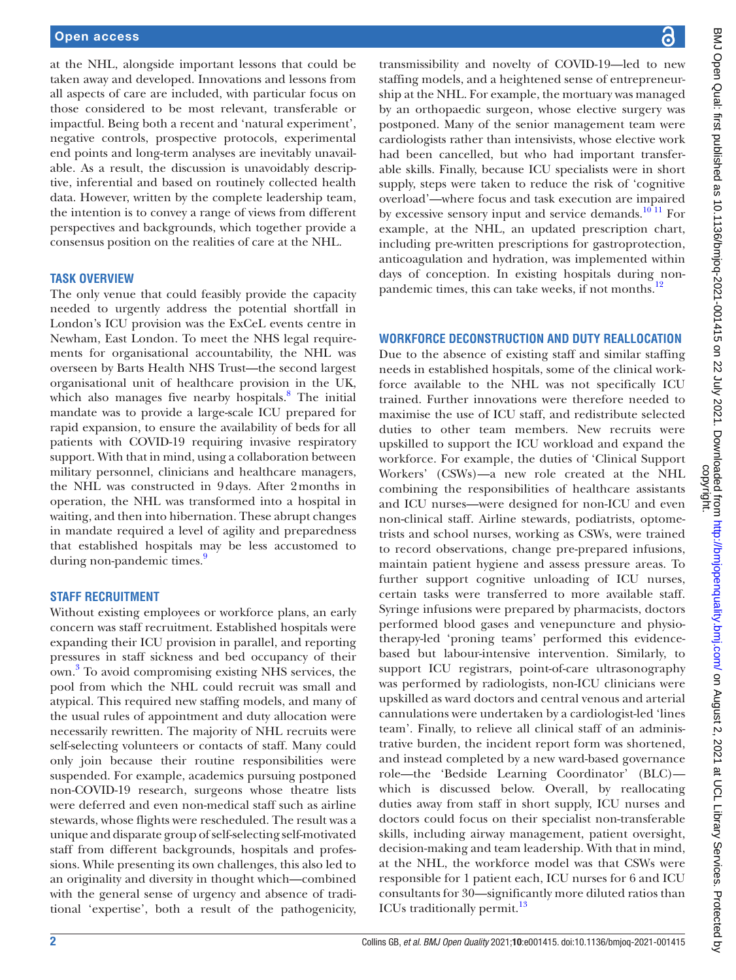at the NHL, alongside important lessons that could be taken away and developed. Innovations and lessons from all aspects of care are included, with particular focus on those considered to be most relevant, transferable or impactful. Being both a recent and 'natural experiment', negative controls, prospective protocols, experimental end points and long-term analyses are inevitably unavailable. As a result, the discussion is unavoidably descriptive, inferential and based on routinely collected health data. However, written by the complete leadership team, the intention is to convey a range of views from different perspectives and backgrounds, which together provide a consensus position on the realities of care at the NHL.

## **TASK OVERVIEW**

The only venue that could feasibly provide the capacity needed to urgently address the potential shortfall in London's ICU provision was the ExCeL events centre in Newham, East London. To meet the NHS legal requirements for organisational accountability, the NHL was overseen by Barts Health NHS Trust—the second largest organisational unit of healthcare provision in the UK, which also manages five nearby hospitals.<sup>[8](#page-4-6)</sup> The initial mandate was to provide a large-scale ICU prepared for rapid expansion, to ensure the availability of beds for all patients with COVID-19 requiring invasive respiratory support. With that in mind, using a collaboration between military personnel, clinicians and healthcare managers, the NHL was constructed in 9days. After 2months in operation, the NHL was transformed into a hospital in waiting, and then into hibernation. These abrupt changes in mandate required a level of agility and preparedness that established hospitals may be less accustomed to during non-pandemic times.<sup>9</sup>

## **STAFF RECRUITMENT**

Without existing employees or workforce plans, an early concern was staff recruitment. Established hospitals were expanding their ICU provision in parallel, and reporting pressures in staff sickness and bed occupancy of their own. [3](#page-4-2) To avoid compromising existing NHS services, the pool from which the NHL could recruit was small and atypical. This required new staffing models, and many of the usual rules of appointment and duty allocation were necessarily rewritten. The majority of NHL recruits were self-selecting volunteers or contacts of staff. Many could only join because their routine responsibilities were suspended. For example, academics pursuing postponed non-COVID-19 research, surgeons whose theatre lists were deferred and even non-medical staff such as airline stewards, whose flights were rescheduled. The result was a unique and disparate group of self-selecting self-motivated staff from different backgrounds, hospitals and professions. While presenting its own challenges, this also led to an originality and diversity in thought which—combined with the general sense of urgency and absence of traditional 'expertise', both a result of the pathogenicity,

BMJ Open Qual: first published as 10.1136/bmjoq-2021-001415 on 22 July 2021. Downloaded from http://bmjopenquality.bmj.com/ on August 2, 2021 at UCL Library Services. Protected by<br>copyright. BMJ Open Qual: first published as 10.1136/bmjoq-2021-001415 on 22 July 2021. Downloaded from <http://bmjopenquality.bmj.com/> on August 2, 2021 at UCL Library Services. Protected by

transmissibility and novelty of COVID-19—led to new staffing models, and a heightened sense of entrepreneurship at the NHL. For example, the mortuary was managed by an orthopaedic surgeon, whose elective surgery was postponed. Many of the senior management team were cardiologists rather than intensivists, whose elective work had been cancelled, but who had important transferable skills. Finally, because ICU specialists were in short supply, steps were taken to reduce the risk of 'cognitive overload'—where focus and task execution are impaired by excessive sensory input and service demands.<sup>10 11</sup> For example, at the NHL, an updated prescription chart, including pre-written prescriptions for gastroprotection, anticoagulation and hydration, was implemented within days of conception. In existing hospitals during nonpandemic times, this can take weeks, if not months.<sup>12</sup>

## **WORKFORCE DECONSTRUCTION AND DUTY REALLOCATION**

Due to the absence of existing staff and similar staffing needs in established hospitals, some of the clinical workforce available to the NHL was not specifically ICU trained. Further innovations were therefore needed to maximise the use of ICU staff, and redistribute selected duties to other team members. New recruits were upskilled to support the ICU workload and expand the workforce. For example, the duties of 'Clinical Support Workers' (CSWs)—a new role created at the NHL combining the responsibilities of healthcare assistants and ICU nurses—were designed for non-ICU and even non-clinical staff. Airline stewards, podiatrists, optometrists and school nurses, working as CSWs, were trained to record observations, change pre-prepared infusions, maintain patient hygiene and assess pressure areas. To further support cognitive unloading of ICU nurses, certain tasks were transferred to more available staff. Syringe infusions were prepared by pharmacists, doctors performed blood gases and venepuncture and physiotherapy-led 'proning teams' performed this evidencebased but labour-intensive intervention. Similarly, to support ICU registrars, point-of-care ultrasonography was performed by radiologists, non-ICU clinicians were upskilled as ward doctors and central venous and arterial cannulations were undertaken by a cardiologist-led 'lines team'. Finally, to relieve all clinical staff of an administrative burden, the incident report form was shortened, and instead completed by a new ward-based governance role—the 'Bedside Learning Coordinator' (BLC) which is discussed below. Overall, by reallocating duties away from staff in short supply, ICU nurses and doctors could focus on their specialist non-transferable skills, including airway management, patient oversight, decision-making and team leadership. With that in mind, at the NHL, the workforce model was that CSWs were responsible for 1 patient each, ICU nurses for 6 and ICU consultants for 30—significantly more diluted ratios than ICUs traditionally permit.<sup>[13](#page-4-10)</sup>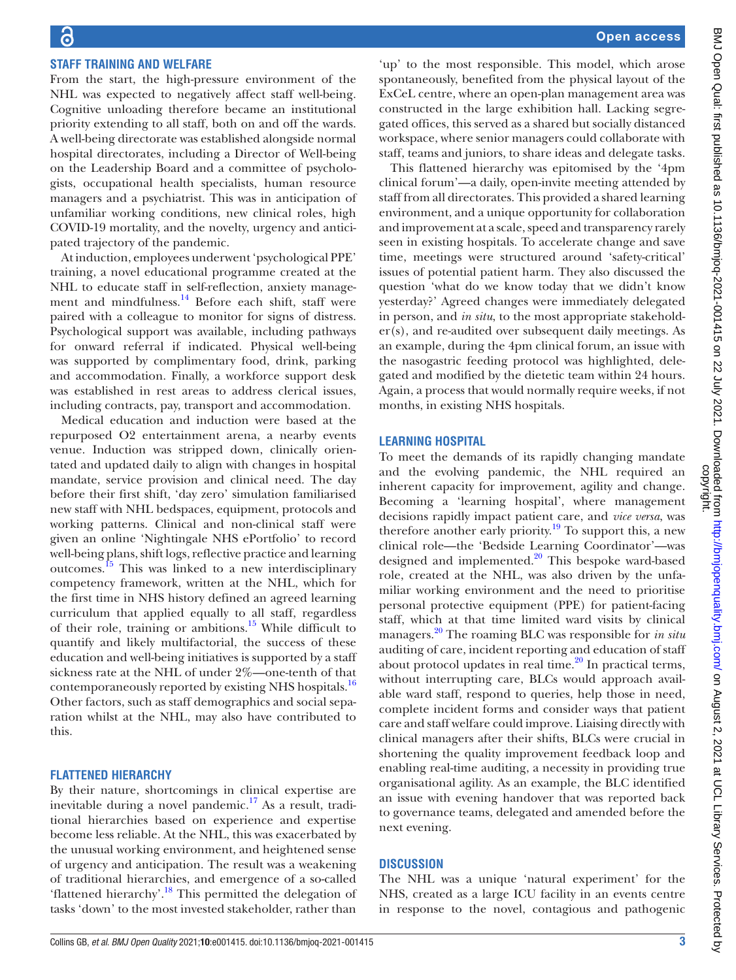## **STAFF TRAINING AND WELFARE**

From the start, the high-pressure environment of the NHL was expected to negatively affect staff well-being. Cognitive unloading therefore became an institutional priority extending to all staff, both on and off the wards. A well-being directorate was established alongside normal hospital directorates, including a Director of Well-being on the Leadership Board and a committee of psychologists, occupational health specialists, human resource managers and a psychiatrist. This was in anticipation of unfamiliar working conditions, new clinical roles, high COVID-19 mortality, and the novelty, urgency and anticipated trajectory of the pandemic.

At induction, employees underwent 'psychological PPE' training, a novel educational programme created at the NHL to educate staff in self-reflection, anxiety management and mindfulness.<sup>14</sup> Before each shift, staff were paired with a colleague to monitor for signs of distress. Psychological support was available, including pathways for onward referral if indicated. Physical well-being was supported by complimentary food, drink, parking and accommodation. Finally, a workforce support desk was established in rest areas to address clerical issues, including contracts, pay, transport and accommodation.

Medical education and induction were based at the repurposed O2 entertainment arena, a nearby events venue. Induction was stripped down, clinically orientated and updated daily to align with changes in hospital mandate, service provision and clinical need. The day before their first shift, 'day zero' simulation familiarised new staff with NHL bedspaces, equipment, protocols and working patterns. Clinical and non-clinical staff were given an online 'Nightingale NHS ePortfolio' to record well-being plans, shift logs, reflective practice and learning outcomes[.15](#page-4-12) This was linked to a new interdisciplinary competency framework, written at the NHL, which for the first time in NHS history defined an agreed learning curriculum that applied equally to all staff, regardless of their role, training or ambitions.<sup>15</sup> While difficult to quantify and likely multifactorial, the success of these education and well-being initiatives is supported by a staff sickness rate at the NHL of under 2%—one-tenth of that contemporaneously reported by existing NHS hospitals.<sup>16</sup> Other factors, such as staff demographics and social separation whilst at the NHL, may also have contributed to this.

## **FLATTENED HIERARCHY**

By their nature, shortcomings in clinical expertise are inevitable during a novel pandemic.<sup>[17](#page-4-14)</sup> As a result, traditional hierarchies based on experience and expertise become less reliable. At the NHL, this was exacerbated by the unusual working environment, and heightened sense of urgency and anticipation. The result was a weakening of traditional hierarchies, and emergence of a so-called 'flattened hierarchy'.<sup>18</sup> This permitted the delegation of tasks 'down' to the most invested stakeholder, rather than

'up' to the most responsible. This model, which arose spontaneously, benefited from the physical layout of the ExCeL centre, where an open-plan management area was constructed in the large exhibition hall. Lacking segregated offices, this served as a shared but socially distanced workspace, where senior managers could collaborate with staff, teams and juniors, to share ideas and delegate tasks.

This flattened hierarchy was epitomised by the '4pm clinical forum'—a daily, open-invite meeting attended by staff from all directorates. This provided a shared learning environment, and a unique opportunity for collaboration and improvement at a scale, speed and transparency rarely seen in existing hospitals. To accelerate change and save time, meetings were structured around 'safety-critical' issues of potential patient harm. They also discussed the question 'what do we know today that we didn't know yesterday?' Agreed changes were immediately delegated in person, and *in situ*, to the most appropriate stakeholder(s), and re-audited over subsequent daily meetings. As an example, during the 4pm clinical forum, an issue with the nasogastric feeding protocol was highlighted, delegated and modified by the dietetic team within 24 hours. Again, a process that would normally require weeks, if not months, in existing NHS hospitals.

#### **LEARNING HOSPITAL**

To meet the demands of its rapidly changing mandate and the evolving pandemic, the NHL required an inherent capacity for improvement, agility and change. Becoming a 'learning hospital', where management decisions rapidly impact patient care, and *vice versa*, was therefore another early priority.<sup>19</sup> To support this, a new clinical role—the 'Bedside Learning Coordinator'—was designed and implemented.<sup>20</sup> This bespoke ward-based role, created at the NHL, was also driven by the unfamiliar working environment and the need to prioritise personal protective equipment (PPE) for patient-facing staff, which at that time limited ward visits by clinical managers[.20](#page-4-17) The roaming BLC was responsible for *in situ* auditing of care, incident reporting and education of staff about protocol updates in real time. $^{20}$  In practical terms, without interrupting care, BLCs would approach available ward staff, respond to queries, help those in need, complete incident forms and consider ways that patient care and staff welfare could improve. Liaising directly with clinical managers after their shifts, BLCs were crucial in shortening the quality improvement feedback loop and enabling real-time auditing, a necessity in providing true organisational agility. As an example, the BLC identified an issue with evening handover that was reported back to governance teams, delegated and amended before the next evening.

## **DISCUSSION**

The NHL was a unique 'natural experiment' for the NHS, created as a large ICU facility in an events centre in response to the novel, contagious and pathogenic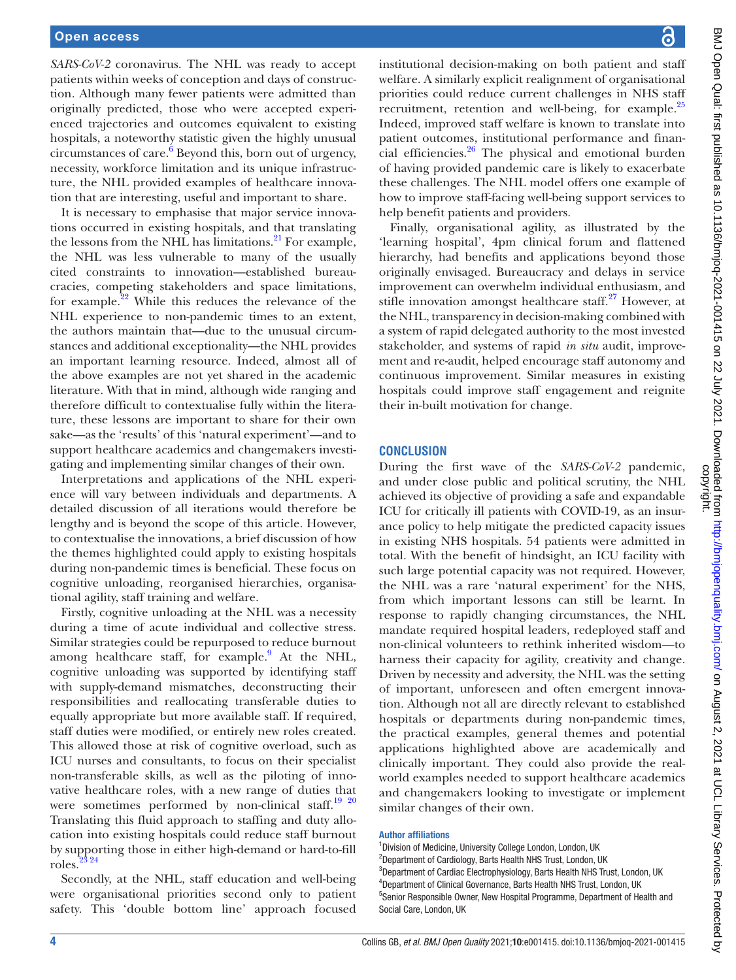*SARS-CoV-2* coronavirus. The NHL was ready to accept patients within weeks of conception and days of construction. Although many fewer patients were admitted than originally predicted, those who were accepted experienced trajectories and outcomes equivalent to existing hospitals, a noteworthy statistic given the highly unusual circumstances of care. $6$  Beyond this, born out of urgency, necessity, workforce limitation and its unique infrastructure, the NHL provided examples of healthcare innovation that are interesting, useful and important to share.

It is necessary to emphasise that major service innovations occurred in existing hospitals, and that translating the lessons from the NHL has limitations. $^{21}$  For example, the NHL was less vulnerable to many of the usually cited constraints to innovation—established bureaucracies, competing stakeholders and space limitations, for example. $^{22}$  While this reduces the relevance of the NHL experience to non-pandemic times to an extent, the authors maintain that—due to the unusual circumstances and additional exceptionality—the NHL provides an important learning resource. Indeed, almost all of the above examples are not yet shared in the academic literature. With that in mind, although wide ranging and therefore difficult to contextualise fully within the literature, these lessons are important to share for their own sake—as the 'results' of this 'natural experiment'—and to support healthcare academics and changemakers investigating and implementing similar changes of their own.

Interpretations and applications of the NHL experience will vary between individuals and departments. A detailed discussion of all iterations would therefore be lengthy and is beyond the scope of this article. However, to contextualise the innovations, a brief discussion of how the themes highlighted could apply to existing hospitals during non-pandemic times is beneficial. These focus on cognitive unloading, reorganised hierarchies, organisational agility, staff training and welfare.

Firstly, cognitive unloading at the NHL was a necessity during a time of acute individual and collective stress. Similar strategies could be repurposed to reduce burnout among healthcare staff, for example.<sup>[9](#page-4-7)</sup> At the NHL, cognitive unloading was supported by identifying staff with supply-demand mismatches, deconstructing their responsibilities and reallocating transferable duties to equally appropriate but more available staff. If required, staff duties were modified, or entirely new roles created. This allowed those at risk of cognitive overload, such as ICU nurses and consultants, to focus on their specialist non-transferable skills, as well as the piloting of innovative healthcare roles, with a new range of duties that were sometimes performed by non-clinical staff.<sup>19 20</sup> Translating this fluid approach to staffing and duty allocation into existing hospitals could reduce staff burnout by supporting those in either high-demand or hard-to-fill roles.<sup>3</sup>

Secondly, at the NHL, staff education and well-being were organisational priorities second only to patient safety. This 'double bottom line' approach focused

institutional decision-making on both patient and staff welfare. A similarly explicit realignment of organisational priorities could reduce current challenges in NHS staff recruitment, retention and well-being, for example.<sup>[25](#page-4-21)</sup> Indeed, improved staff welfare is known to translate into patient outcomes, institutional performance and financial efficiencies.[26](#page-4-22) The physical and emotional burden of having provided pandemic care is likely to exacerbate these challenges. The NHL model offers one example of how to improve staff-facing well-being support services to help benefit patients and providers.

Finally, organisational agility, as illustrated by the 'learning hospital', 4pm clinical forum and flattened hierarchy, had benefits and applications beyond those originally envisaged. Bureaucracy and delays in service improvement can overwhelm individual enthusiasm, and stifle innovation amongst healthcare staff. $27$  However, at the NHL, transparency in decision-making combined with a system of rapid delegated authority to the most invested stakeholder, and systems of rapid *in situ* audit, improvement and re-audit, helped encourage staff autonomy and continuous improvement. Similar measures in existing hospitals could improve staff engagement and reignite their in-built motivation for change.

## **CONCLUSION**

During the first wave of the *SARS-CoV-2* pandemic, and under close public and political scrutiny, the NHL achieved its objective of providing a safe and expandable ICU for critically ill patients with COVID-19, as an insurance policy to help mitigate the predicted capacity issues in existing NHS hospitals. 54 patients were admitted in total. With the benefit of hindsight, an ICU facility with such large potential capacity was not required. However, the NHL was a rare 'natural experiment' for the NHS, from which important lessons can still be learnt. In response to rapidly changing circumstances, the NHL mandate required hospital leaders, redeployed staff and non-clinical volunteers to rethink inherited wisdom—to harness their capacity for agility, creativity and change. Driven by necessity and adversity, the NHL was the setting of important, unforeseen and often emergent innovation. Although not all are directly relevant to established hospitals or departments during non-pandemic times, the practical examples, general themes and potential applications highlighted above are academically and clinically important. They could also provide the realworld examples needed to support healthcare academics and changemakers looking to investigate or implement similar changes of their own.

#### Author affiliations

<sup>1</sup> Division of Medicine, University College London, London, UK <sup>2</sup>Department of Cardiology, Barts Health NHS Trust, London, UK <sup>3</sup>Department of Cardiac Electrophysiology, Barts Health NHS Trust, London, UK 4 Department of Clinical Governance, Barts Health NHS Trust, London, UK 5 Senior Responsible Owner, New Hospital Programme, Department of Health and Social Care, London, UK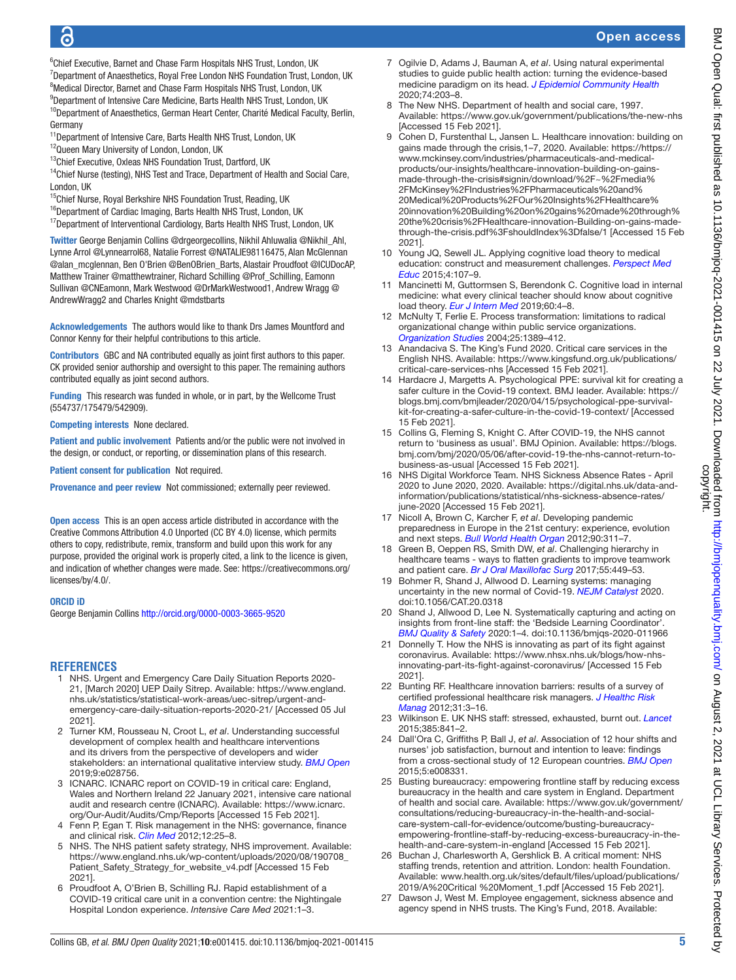## ൳

## Open access

<sup>6</sup>Chief Executive, Barnet and Chase Farm Hospitals NHS Trust, London, UK <sup>7</sup>Department of Anaesthetics, Royal Free London NHS Foundation Trust, London, UK <sup>8</sup>Medical Director, Barnet and Chase Farm Hospitals NHS Trust, London, UK <sup>9</sup>Department of Intensive Care Medicine, Barts Health NHS Trust, London, UK

<sup>10</sup>Department of Anaesthetics, German Heart Center, Charité Medical Faculty, Berlin, Germany

- <sup>11</sup> Department of Intensive Care, Barts Health NHS Trust, London, UK
- <sup>12</sup>Queen Mary University of London, London, UK
- <sup>13</sup>Chief Executive, Oxleas NHS Foundation Trust, Dartford, UK

<sup>14</sup>Chief Nurse (testing), NHS Test and Trace, Department of Health and Social Care, London, UK

- <sup>15</sup>Chief Nurse, Royal Berkshire NHS Foundation Trust, Reading, UK
- <sup>16</sup>Department of Cardiac Imaging, Barts Health NHS Trust, London, UK

<sup>17</sup>Department of Interventional Cardiology, Barts Health NHS Trust, London, UK

Twitter George Benjamin Collins [@drgeorgecollins](https://twitter.com/drgeorgecollins), Nikhil Ahluwalia [@Nikhil\\_Ahl,](https://twitter.com/Nikhil_Ahl) Lynne Arrol [@Lynnearrol68](https://twitter.com/Lynnearrol68), Natalie Forrest [@NATALIE98116475](https://twitter.com/NATALIE98116475), Alan McGlennan [@alan\\_mcglennan](https://twitter.com/alan_mcglennan), Ben O'Brien [@BenOBrien\\_Barts,](https://twitter.com/BenOBrien_Barts) Alastair Proudfoot [@ICUDocAP,](https://twitter.com/ICUDocAP) Matthew Trainer [@matthewtrainer](https://twitter.com/matthewtrainer), Richard Schilling [@Prof\\_Schilling](https://twitter.com/Prof_Schilling), Eamonn Sullivan [@CNEamonn,](https://twitter.com/CNEamonn) Mark Westwood [@DrMarkWestwood1,](https://twitter.com/DrMarkWestwood1) Andrew Wragg [@](https://twitter.com/AndrewWragg2) [AndrewWragg2](https://twitter.com/AndrewWragg2) and Charles Knight [@mdstbarts](https://twitter.com/mdstbarts)

Acknowledgements The authors would like to thank Drs James Mountford and Connor Kenny for their helpful contributions to this article.

Contributors GBC and NA contributed equally as joint first authors to this paper. CK provided senior authorship and oversight to this paper. The remaining authors contributed equally as joint second authors.

Funding This research was funded in whole, or in part, by the Wellcome Trust (554737/175479/542909).

Competing interests None declared.

Patient and public involvement Patients and/or the public were not involved in the design, or conduct, or reporting, or dissemination plans of this research.

Patient consent for publication Not required.

Provenance and peer review Not commissioned; externally peer reviewed.

Open access This is an open access article distributed in accordance with the Creative Commons Attribution 4.0 Unported (CC BY 4.0) license, which permits others to copy, redistribute, remix, transform and build upon this work for any purpose, provided the original work is properly cited, a link to the licence is given, and indication of whether changes were made. See: [https://creativecommons.org/](https://creativecommons.org/licenses/by/4.0/) [licenses/by/4.0/.](https://creativecommons.org/licenses/by/4.0/)

## ORCID iD

George Benjamin Collins <http://orcid.org/0000-0003-3665-9520>

## **REFERENCES**

- <span id="page-4-0"></span>1 NHS. Urgent and Emergency Care Daily Situation Reports 2020- 21, [March 2020] UEP Daily Sitrep. Available: [https://www.england.](https://www.england.nhs.uk/statistics/statistical-work-areas/uec-sitrep/urgent-and-emergency-care-daily-situation-reports-2020-21/) [nhs.uk/statistics/statistical-work-areas/uec-sitrep/urgent-and](https://www.england.nhs.uk/statistics/statistical-work-areas/uec-sitrep/urgent-and-emergency-care-daily-situation-reports-2020-21/)[emergency-care-daily-situation-reports-2020-21/](https://www.england.nhs.uk/statistics/statistical-work-areas/uec-sitrep/urgent-and-emergency-care-daily-situation-reports-2020-21/) [Accessed 05 Jul 2021].
- <span id="page-4-1"></span>2 Turner KM, Rousseau N, Croot L, *et al*. Understanding successful development of complex health and healthcare interventions and its drivers from the perspective of developers and wider stakeholders: an international qualitative interview study. *[BMJ Open](http://dx.doi.org/10.1136/bmjopen-2018-028756)* 2019;9:e028756.
- <span id="page-4-2"></span>3 ICNARC. ICNARC report on COVID-19 in critical care: England, Wales and Northern Ireland 22 January 2021, intensive care national audit and research centre (ICNARC). Available: [https://www.icnarc.](https://www.icnarc.org/Our-Audit/Audits/Cmp/Reports) [org/Our-Audit/Audits/Cmp/Reports](https://www.icnarc.org/Our-Audit/Audits/Cmp/Reports) [Accessed 15 Feb 2021].
- <span id="page-4-3"></span>4 Fenn P, Egan T. Risk management in the NHS: governance, finance and clinical risk. *[Clin Med](http://dx.doi.org/10.7861/clinmedicine.12-1-25)* 2012;12:25–8.
- 5 NHS. The NHS patient safety strategy, NHS improvement. Available: [https://www.england.nhs.uk/wp-content/uploads/2020/08/190708\\_](https://www.england.nhs.uk/wp-content/uploads/2020/08/190708_Patient_Safety_Strategy_for_website_v4.pdf) [Patient\\_Safety\\_Strategy\\_for\\_website\\_v4.pdf](https://www.england.nhs.uk/wp-content/uploads/2020/08/190708_Patient_Safety_Strategy_for_website_v4.pdf) [Accessed 15 Feb 2021].
- <span id="page-4-4"></span>6 Proudfoot A, O'Brien B, Schilling RJ. Rapid establishment of a COVID-19 critical care unit in a convention centre: the Nightingale Hospital London experience. *Intensive Care Med* 2021:1–3.
- <span id="page-4-5"></span>7 Ogilvie D, Adams J, Bauman A, *et al*. Using natural experimental studies to guide public health action: turning the evidence-based medicine paradigm on its head. *[J Epidemiol Community Health](http://dx.doi.org/10.1136/jech-2019-213085)* 2020;74:203–8.
- <span id="page-4-6"></span>8 The New NHS. Department of health and social care, 1997. Available: <https://www.gov.uk/government/publications/the-new-nhs> [Accessed 15 Feb 2021].
- <span id="page-4-7"></span>Cohen D, Furstenthal L, Jansen L. Healthcare innovation: building on gains made through the crisis, 1–7, 2020. Available: [https://https://](https://https://www.mckinsey.com/industries/pharmaceuticals-and-medical-products/our-insights/healthcare-innovation-building-on-gains-made-through-the-crisis#signin/download/%2F~%2Fmedia%2FMcKinsey%2FIndustries%2FPharmaceuticals%20and%20Medical%20Products%2FOur%20Insights%2FHealthcare%20innovation%20Building%20on%20gains%20made%20through%20the%20crisis%2FHealthcare-innovation-Building-on-gains-made-through-the-crisis.pdf%3FshouldIndex%3Dfalse/1) [www.mckinsey.com/industries/pharmaceuticals-and-medical](https://https://www.mckinsey.com/industries/pharmaceuticals-and-medical-products/our-insights/healthcare-innovation-building-on-gains-made-through-the-crisis#signin/download/%2F~%2Fmedia%2FMcKinsey%2FIndustries%2FPharmaceuticals%20and%20Medical%20Products%2FOur%20Insights%2FHealthcare%20innovation%20Building%20on%20gains%20made%20through%20the%20crisis%2FHealthcare-innovation-Building-on-gains-made-through-the-crisis.pdf%3FshouldIndex%3Dfalse/1)[products/our-insights/healthcare-innovation-building-on-gains](https://https://www.mckinsey.com/industries/pharmaceuticals-and-medical-products/our-insights/healthcare-innovation-building-on-gains-made-through-the-crisis#signin/download/%2F~%2Fmedia%2FMcKinsey%2FIndustries%2FPharmaceuticals%20and%20Medical%20Products%2FOur%20Insights%2FHealthcare%20innovation%20Building%20on%20gains%20made%20through%20the%20crisis%2FHealthcare-innovation-Building-on-gains-made-through-the-crisis.pdf%3FshouldIndex%3Dfalse/1)[made-through-the-crisis#signin/download/%2F~%2Fmedia%](https://https://www.mckinsey.com/industries/pharmaceuticals-and-medical-products/our-insights/healthcare-innovation-building-on-gains-made-through-the-crisis#signin/download/%2F~%2Fmedia%2FMcKinsey%2FIndustries%2FPharmaceuticals%20and%20Medical%20Products%2FOur%20Insights%2FHealthcare%20innovation%20Building%20on%20gains%20made%20through%20the%20crisis%2FHealthcare-innovation-Building-on-gains-made-through-the-crisis.pdf%3FshouldIndex%3Dfalse/1) [2FMcKinsey%2FIndustries%2FPharmaceuticals%20and%](https://https://www.mckinsey.com/industries/pharmaceuticals-and-medical-products/our-insights/healthcare-innovation-building-on-gains-made-through-the-crisis#signin/download/%2F~%2Fmedia%2FMcKinsey%2FIndustries%2FPharmaceuticals%20and%20Medical%20Products%2FOur%20Insights%2FHealthcare%20innovation%20Building%20on%20gains%20made%20through%20the%20crisis%2FHealthcare-innovation-Building-on-gains-made-through-the-crisis.pdf%3FshouldIndex%3Dfalse/1) [20Medical%20Products%2FOur%20Insights%2FHealthcare%](https://https://www.mckinsey.com/industries/pharmaceuticals-and-medical-products/our-insights/healthcare-innovation-building-on-gains-made-through-the-crisis#signin/download/%2F~%2Fmedia%2FMcKinsey%2FIndustries%2FPharmaceuticals%20and%20Medical%20Products%2FOur%20Insights%2FHealthcare%20innovation%20Building%20on%20gains%20made%20through%20the%20crisis%2FHealthcare-innovation-Building-on-gains-made-through-the-crisis.pdf%3FshouldIndex%3Dfalse/1) [20innovation%20Building%20on%20gains%20made%20through%](https://https://www.mckinsey.com/industries/pharmaceuticals-and-medical-products/our-insights/healthcare-innovation-building-on-gains-made-through-the-crisis#signin/download/%2F~%2Fmedia%2FMcKinsey%2FIndustries%2FPharmaceuticals%20and%20Medical%20Products%2FOur%20Insights%2FHealthcare%20innovation%20Building%20on%20gains%20made%20through%20the%20crisis%2FHealthcare-innovation-Building-on-gains-made-through-the-crisis.pdf%3FshouldIndex%3Dfalse/1) [20the%20crisis%2FHealthcare-innovation-Building-on-gains-made](https://https://www.mckinsey.com/industries/pharmaceuticals-and-medical-products/our-insights/healthcare-innovation-building-on-gains-made-through-the-crisis#signin/download/%2F~%2Fmedia%2FMcKinsey%2FIndustries%2FPharmaceuticals%20and%20Medical%20Products%2FOur%20Insights%2FHealthcare%20innovation%20Building%20on%20gains%20made%20through%20the%20crisis%2FHealthcare-innovation-Building-on-gains-made-through-the-crisis.pdf%3FshouldIndex%3Dfalse/1)[through-the-crisis.pdf%3FshouldIndex%3Dfalse/1](https://https://www.mckinsey.com/industries/pharmaceuticals-and-medical-products/our-insights/healthcare-innovation-building-on-gains-made-through-the-crisis#signin/download/%2F~%2Fmedia%2FMcKinsey%2FIndustries%2FPharmaceuticals%20and%20Medical%20Products%2FOur%20Insights%2FHealthcare%20innovation%20Building%20on%20gains%20made%20through%20the%20crisis%2FHealthcare-innovation-Building-on-gains-made-through-the-crisis.pdf%3FshouldIndex%3Dfalse/1) [Accessed 15 Feb 2021].
- <span id="page-4-8"></span>10 Young JQ, Sewell JL. Applying cognitive load theory to medical education: construct and measurement challenges. *[Perspect Med](http://dx.doi.org/10.1007/s40037-015-0193-9)  [Educ](http://dx.doi.org/10.1007/s40037-015-0193-9)* 2015;4:107–9.
- 11 Mancinetti M, Guttormsen S, Berendonk C. Cognitive load in internal medicine: what every clinical teacher should know about cognitive load theory. *[Eur J Intern Med](http://dx.doi.org/10.1016/j.ejim.2018.08.013)* 2019;60:4–8.
- <span id="page-4-9"></span>12 McNulty T, Ferlie E. Process transformation: limitations to radical organizational change within public service organizations. *[Organization Studies](http://dx.doi.org/10.1177/0170840604046349)* 2004;25:1389–412.
- <span id="page-4-10"></span>13 Anandaciva S. The King's Fund 2020. Critical care services in the English NHS. Available: [https://www.kingsfund.org.uk/publications/](https://www.kingsfund.org.uk/publications/critical-care-services-nhs) [critical-care-services-nhs](https://www.kingsfund.org.uk/publications/critical-care-services-nhs) [Accessed 15 Feb 2021].
- <span id="page-4-11"></span>14 Hardacre J, Margetts A. Psychological PPE: survival kit for creating a safer culture in the Covid-19 context. BMJ leader. Available: [https://](https://blogs.bmj.com/bmjleader/2020/04/15/psychological-ppe-survival-kit-for-creating-a-safer-culture-in-the-covid-19-context/) [blogs.bmj.com/bmjleader/2020/04/15/psychological-ppe-survival](https://blogs.bmj.com/bmjleader/2020/04/15/psychological-ppe-survival-kit-for-creating-a-safer-culture-in-the-covid-19-context/)[kit-for-creating-a-safer-culture-in-the-covid-19-context/](https://blogs.bmj.com/bmjleader/2020/04/15/psychological-ppe-survival-kit-for-creating-a-safer-culture-in-the-covid-19-context/) [Accessed 15 Feb 2021].
- <span id="page-4-12"></span>15 Collins G, Fleming S, Knight C. After COVID-19, the NHS cannot return to 'business as usual'. BMJ Opinion. Available: [https://blogs.](https://blogs.bmj.com/bmj/2020/05/06/after-covid-19-the-nhs-cannot-return-to-business-as-usual) [bmj.com/bmj/2020/05/06/after-covid-19-the-nhs-cannot-return-to](https://blogs.bmj.com/bmj/2020/05/06/after-covid-19-the-nhs-cannot-return-to-business-as-usual)[business-as-usual](https://blogs.bmj.com/bmj/2020/05/06/after-covid-19-the-nhs-cannot-return-to-business-as-usual) [Accessed 15 Feb 2021].
- <span id="page-4-13"></span>16 NHS Digital Workforce Team. NHS Sickness Absence Rates - April 2020 to June 2020, 2020. Available: [https://digital.nhs.uk/data-and](https://digital.nhs.uk/data-and-information/publications/statistical/nhs-sickness-absence-rates/june-2020)[information/publications/statistical/nhs-sickness-absence-rates/](https://digital.nhs.uk/data-and-information/publications/statistical/nhs-sickness-absence-rates/june-2020) [june-2020](https://digital.nhs.uk/data-and-information/publications/statistical/nhs-sickness-absence-rates/june-2020) [Accessed 15 Feb 2021].
- <span id="page-4-14"></span>17 Nicoll A, Brown C, Karcher F, *et al*. Developing pandemic preparedness in Europe in the 21st century: experience, evolution and next steps. *[Bull World Health Organ](http://dx.doi.org/10.2471/BLT.11.097972)* 2012;90:311–7.
- <span id="page-4-15"></span>18 Green B, Oeppen RS, Smith DW, *et al*. Challenging hierarchy in healthcare teams - ways to flatten gradients to improve teamwork and patient care. *[Br J Oral Maxillofac Surg](http://dx.doi.org/10.1016/j.bjoms.2017.02.010)* 2017;55:449–53.
- <span id="page-4-16"></span>19 Bohmer R, Shand J, Allwood D. Learning systems: managing uncertainty in the new normal of Covid-19. *[NEJM Catalyst](http://dx.doi.org/10.1056/CAT.20.0318)* 2020. doi:10.1056/CAT.20.0318
- <span id="page-4-17"></span>20 Shand J, Allwood D, Lee N. Systematically capturing and acting on insights from front-line staff: the 'Bedside Learning Coordinator'. *[BMJ Quality & Safety](http://dx.doi.org/10.1136/bmjqs-2020-011966)* 2020:1–4. doi:10.1136/bmjqs-2020-011966
- <span id="page-4-18"></span>21 Donnelly T. How the NHS is innovating as part of its fight against coronavirus. Available: [https://www.nhsx.nhs.uk/blogs/how-nhs](https://www.nhsx.nhs.uk/blogs/how-nhs-innovating-part-its-fight-against-coronavirus/)[innovating-part-its-fight-against-coronavirus/](https://www.nhsx.nhs.uk/blogs/how-nhs-innovating-part-its-fight-against-coronavirus/) [Accessed 15 Feb 2021].
- <span id="page-4-19"></span>22 Bunting RF. Healthcare innovation barriers: results of a survey of certified professional healthcare risk managers. *[J Healthc Risk](http://dx.doi.org/10.1002/jhrm.20099)  [Manag](http://dx.doi.org/10.1002/jhrm.20099)* 2012;31:3–16.
- <span id="page-4-20"></span>23 Wilkinson E. UK NHS staff: stressed, exhausted, burnt out. *[Lancet](http://dx.doi.org/10.1016/S0140-6736(15)60470-6)* 2015;385:841–2.
- 24 Dall'Ora C, Griffiths P, Ball J, *et al*. Association of 12 hour shifts and nurses' job satisfaction, burnout and intention to leave: findings from a cross-sectional study of 12 European countries. *[BMJ Open](http://dx.doi.org/10.1136/bmjopen-2015-008331)* 2015;5:e008331.
- <span id="page-4-21"></span>25 Busting bureaucracy: empowering frontline staff by reducing excess bureaucracy in the health and care system in England. Department of health and social care. Available: [https://www.gov.uk/government/](https://www.gov.uk/government/consultations/reducing-bureaucracy-in-the-health-and-social-care-system-call-for-evidence/outcome/busting-bureaucracy-empowering-frontline-staff-by-reducing-excess-bureaucracy-in-the-health-and-care-system-in-england) [consultations/reducing-bureaucracy-in-the-health-and-social](https://www.gov.uk/government/consultations/reducing-bureaucracy-in-the-health-and-social-care-system-call-for-evidence/outcome/busting-bureaucracy-empowering-frontline-staff-by-reducing-excess-bureaucracy-in-the-health-and-care-system-in-england)[care-system-call-for-evidence/outcome/busting-bureaucracy](https://www.gov.uk/government/consultations/reducing-bureaucracy-in-the-health-and-social-care-system-call-for-evidence/outcome/busting-bureaucracy-empowering-frontline-staff-by-reducing-excess-bureaucracy-in-the-health-and-care-system-in-england)[empowering-frontline-staff-by-reducing-excess-bureaucracy-in-the](https://www.gov.uk/government/consultations/reducing-bureaucracy-in-the-health-and-social-care-system-call-for-evidence/outcome/busting-bureaucracy-empowering-frontline-staff-by-reducing-excess-bureaucracy-in-the-health-and-care-system-in-england)[health-and-care-system-in-england](https://www.gov.uk/government/consultations/reducing-bureaucracy-in-the-health-and-social-care-system-call-for-evidence/outcome/busting-bureaucracy-empowering-frontline-staff-by-reducing-excess-bureaucracy-in-the-health-and-care-system-in-england) [Accessed 15 Feb 2021].
- <span id="page-4-22"></span>26 Buchan J, Charlesworth A, Gershlick B. A critical moment: NHS staffing trends, retention and attrition. London: health Foundation. Available: [www.health.org.uk/sites/default/files/upload/publications/](www.health.org.uk/sites/default/files/upload/publications/2019/A%20Critical%20%20Moment_1.pdf) [2019/A%20Critical %20Moment\\_1.pdf](www.health.org.uk/sites/default/files/upload/publications/2019/A%20Critical%20%20Moment_1.pdf) [Accessed 15 Feb 2021].
- <span id="page-4-23"></span>Dawson J, West M. Employee engagement, sickness absence and agency spend in NHS trusts. The King's Fund, 2018. Available: